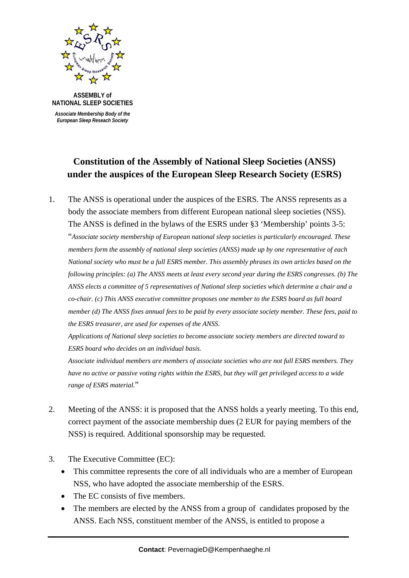

 *Associate Membership Body of the*  *European Sleep Reseach Society*

## **Constitution of the Assembly of National Sleep Societies (ANSS) under the auspices of the European Sleep Research Society (ESRS)**

1. The ANSS is operational under the auspices of the ESRS. The ANSS represents as a body the associate members from different European national sleep societies (NSS). The ANSS is defined in the bylaws of the ESRS under §3 'Membership' points 3-5: "*Associate society membership of European national sleep societies is particularly encouraged. These members form the assembly of national sleep societies (ANSS) made up by one representative of each National society who must be a full ESRS member. This assembly phrases its own articles based on the following principles: (a) The ANSS meets at least every second year during the ESRS congresses. (b) The ANSS elects a committee of 5 representatives of National sleep societies which determine a chair and a co-chair. (c) This ANSS executive committee proposes one member to the ESRS board as full board member (d) The ANSS fixes annual fees to be paid by every associate society member. These fees, paid to the ESRS treasurer, are used for expenses of the ANSS.* 

 *Applications of National sleep societies to become associate society members are directed toward to ESRS board who decides on an individual basis.* 

 *Associate individual members are members of associate societies who are not full ESRS members. They have no active or passive voting rights within the ESRS, but they will get privileged access to a wide range of ESRS material.*"

- 2. Meeting of the ANSS: it is proposed that the ANSS holds a yearly meeting. To this end, correct payment of the associate membership dues (2 EUR for paying members of the NSS) is required. Additional sponsorship may be requested.
- 3. The Executive Committee (EC):
	- This committee represents the core of all individuals who are a member of European NSS, who have adopted the associate membership of the ESRS.
	- The EC consists of five members.
	- The members are elected by the ANSS from a group of candidates proposed by the ANSS. Each NSS, constituent member of the ANSS, is entitled to propose a